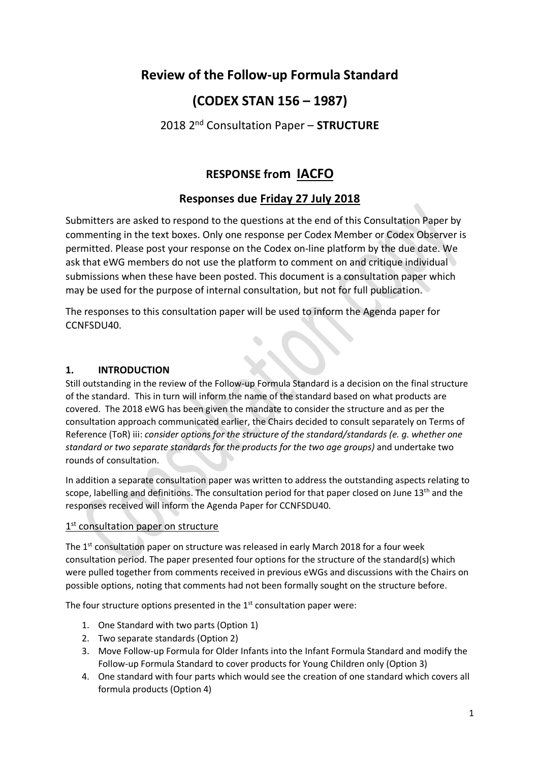# **Review of the Follow-up Formula Standard**

# **(CODEX STAN 156 – 1987)**

## 2018 2nd Consultation Paper – **STRUCTURE**

# **RESPONSE from IACFO**

## **Responses due Friday 27 July 2018**

Submitters are asked to respond to the questions at the end of this Consultation Paper by commenting in the text boxes. Only one response per Codex Member or Codex Observer is permitted. Please post your response on the Codex on-line platform by the due date. We ask that eWG members do not use the platform to comment on and critique individual submissions when these have been posted. This document is a consultation paper which may be used for the purpose of internal consultation, but not for full publication.

The responses to this consultation paper will be used to inform the Agenda paper for CCNFSDU40.

## **1. INTRODUCTION**

Still outstanding in the review of the Follow-up Formula Standard is a decision on the final structure of the standard. This in turn will inform the name of the standard based on what products are covered. The 2018 eWG has been given the mandate to consider the structure and as per the consultation approach communicated earlier, the Chairs decided to consult separately on Terms of Reference (ToR) iii: *consider options for the structure of the standard/standards (e. g. whether one standard or two separate standards for the products for the two age groups)* and undertake two rounds of consultation.

In addition a separate consultation paper was written to address the outstanding aspects relating to scope, labelling and definitions. The consultation period for that paper closed on June  $13<sup>th</sup>$  and the responses received will inform the Agenda Paper for CCNFSDU40.

## 1<sup>st</sup> consultation paper on structure

The  $1<sup>st</sup>$  consultation paper on structure was released in early March 2018 for a four week consultation period. The paper presented four options for the structure of the standard(s) which were pulled together from comments received in previous eWGs and discussions with the Chairs on possible options, noting that comments had not been formally sought on the structure before.

The four structure options presented in the  $1<sup>st</sup>$  consultation paper were:

- 1. One Standard with two parts (Option 1)
- 2. Two separate standards (Option 2)
- 3. Move Follow-up Formula for Older Infants into the Infant Formula Standard and modify the Follow-up Formula Standard to cover products for Young Children only (Option 3)
- 4. One standard with four parts which would see the creation of one standard which covers all formula products (Option 4)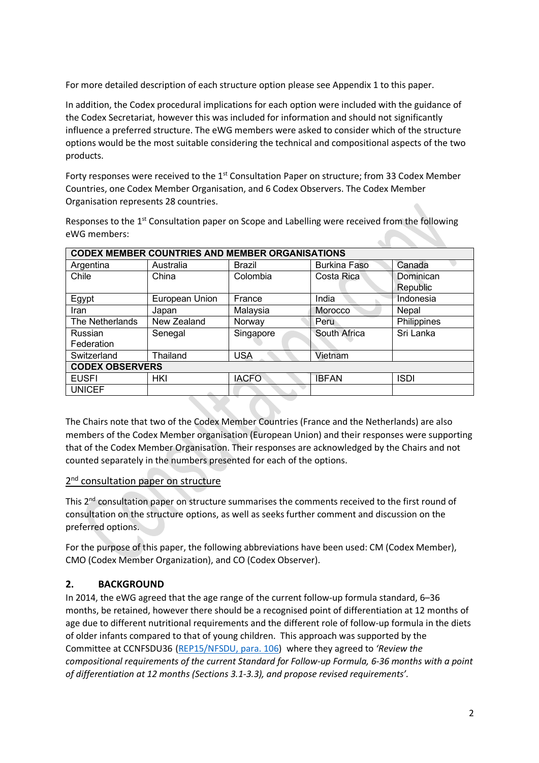For more detailed description of each structure option please see Appendix 1 to this paper.

In addition, the Codex procedural implications for each option were included with the guidance of the Codex Secretariat, however this was included for information and should not significantly influence a preferred structure. The eWG members were asked to consider which of the structure options would be the most suitable considering the technical and compositional aspects of the two products.

Forty responses were received to the 1<sup>st</sup> Consultation Paper on structure; from 33 Codex Member Countries, one Codex Member Organisation, and 6 Codex Observers. The Codex Member Organisation represents 28 countries.

Responses to the 1<sup>st</sup> Consultation paper on Scope and Labelling were received from the following eWG members:

| CODEX MEMBER COUNTRIES AND MEMBER ORGANISATIONS |                |               |                     |             |  |  |  |
|-------------------------------------------------|----------------|---------------|---------------------|-------------|--|--|--|
| Argentina                                       | Australia      | <b>Brazil</b> | <b>Burkina Faso</b> | Canada      |  |  |  |
| Chile                                           | China          | Colombia      | Costa Rica          | Dominican   |  |  |  |
|                                                 |                |               |                     | Republic    |  |  |  |
| Egypt                                           | European Union | France        | India               | Indonesia   |  |  |  |
| Iran                                            | Japan          | Malaysia      | Morocco             | Nepal       |  |  |  |
| The Netherlands                                 | New Zealand    | Norway        | Peru                | Philippines |  |  |  |
| Russian                                         | Senegal        | Singapore     | South Africa        | Sri Lanka   |  |  |  |
| Federation                                      |                |               |                     |             |  |  |  |
| Switzerland                                     | Thailand       | <b>USA</b>    | Vietnam             |             |  |  |  |
| <b>CODEX OBSERVERS</b>                          |                |               |                     |             |  |  |  |
| <b>EUSFI</b>                                    | HKI            | <b>IACFO</b>  | <b>IBFAN</b>        | <b>ISDI</b> |  |  |  |
| <b>UNICEF</b>                                   |                |               |                     |             |  |  |  |

**CODEX MEMBER COUNTRIES AND MEMBER ORGANISATIONS**

The Chairs note that two of the Codex Member Countries (France and the Netherlands) are also members of the Codex Member organisation (European Union) and their responses were supporting that of the Codex Member Organisation. Their responses are acknowledged by the Chairs and not counted separately in the numbers presented for each of the options.

## 2<sup>nd</sup> consultation paper on structure

This  $2<sup>nd</sup>$  consultation paper on structure summarises the comments received to the first round of consultation on the structure options, as well as seeks further comment and discussion on the preferred options.

For the purpose of this paper, the following abbreviations have been used: CM (Codex Member), CMO (Codex Member Organization), and CO (Codex Observer).

## **2. BACKGROUND**

In 2014, the eWG agreed that the age range of the current follow-up formula standard, 6–36 months, be retained, however there should be a recognised point of differentiation at 12 months of age due to different nutritional requirements and the different role of follow-up formula in the diets of older infants compared to that of young children. This approach was supported by the Committee at CCNFSDU36 (REP15/NFSDU, para. 106) where they agreed to *'Review the compositional requirements of the current Standard for Follow-up Formula, 6-36 months with a point of differentiation at 12 months (Sections 3.1-3.3), and propose revised requirements'.*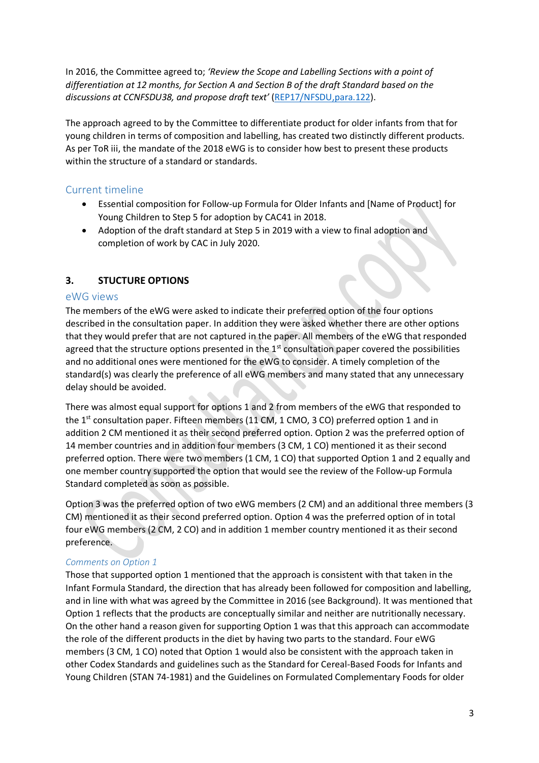In 2016, the Committee agreed to; *'Review the Scope and Labelling Sections with a point of differentiation at 12 months, for Section A and Section B of the draft Standard based on the discussions at CCNFSDU38, and propose draft text'* (REP17/NFSDU,para.122).

The approach agreed to by the Committee to differentiate product for older infants from that for young children in terms of composition and labelling, has created two distinctly different products. As per ToR iii, the mandate of the 2018 eWG is to consider how best to present these products within the structure of a standard or standards.

## Current timeline

- Essential composition for Follow-up Formula for Older Infants and [Name of Product] for Young Children to Step 5 for adoption by CAC41 in 2018.
- Adoption of the draft standard at Step 5 in 2019 with a view to final adoption and completion of work by CAC in July 2020.

### **3. STUCTURE OPTIONS**

#### eWG views

The members of the eWG were asked to indicate their preferred option of the four options described in the consultation paper. In addition they were asked whether there are other options that they would prefer that are not captured in the paper. All members of the eWG that responded agreed that the structure options presented in the  $1<sup>st</sup>$  consultation paper covered the possibilities and no additional ones were mentioned for the eWG to consider. A timely completion of the standard(s) was clearly the preference of all eWG members and many stated that any unnecessary delay should be avoided.

There was almost equal support for options 1 and 2 from members of the eWG that responded to the 1<sup>st</sup> consultation paper. Fifteen members (11 CM, 1 CMO, 3 CO) preferred option 1 and in addition 2 CM mentioned it as their second preferred option. Option 2 was the preferred option of 14 member countries and in addition four members (3 CM, 1 CO) mentioned it as their second preferred option. There were two members (1 CM, 1 CO) that supported Option 1 and 2 equally and one member country supported the option that would see the review of the Follow-up Formula Standard completed as soon as possible.

Option 3 was the preferred option of two eWG members (2 CM) and an additional three members (3 CM) mentioned it as their second preferred option. Option 4 was the preferred option of in total four eWG members (2 CM, 2 CO) and in addition 1 member country mentioned it as their second preference.

#### *Comments on Option 1*

Those that supported option 1 mentioned that the approach is consistent with that taken in the Infant Formula Standard, the direction that has already been followed for composition and labelling, and in line with what was agreed by the Committee in 2016 (see Background). It was mentioned that Option 1 reflects that the products are conceptually similar and neither are nutritionally necessary. On the other hand a reason given for supporting Option 1 was that this approach can accommodate the role of the different products in the diet by having two parts to the standard. Four eWG members (3 CM, 1 CO) noted that Option 1 would also be consistent with the approach taken in other Codex Standards and guidelines such as the Standard for Cereal-Based Foods for Infants and Young Children (STAN 74-1981) and the Guidelines on Formulated Complementary Foods for older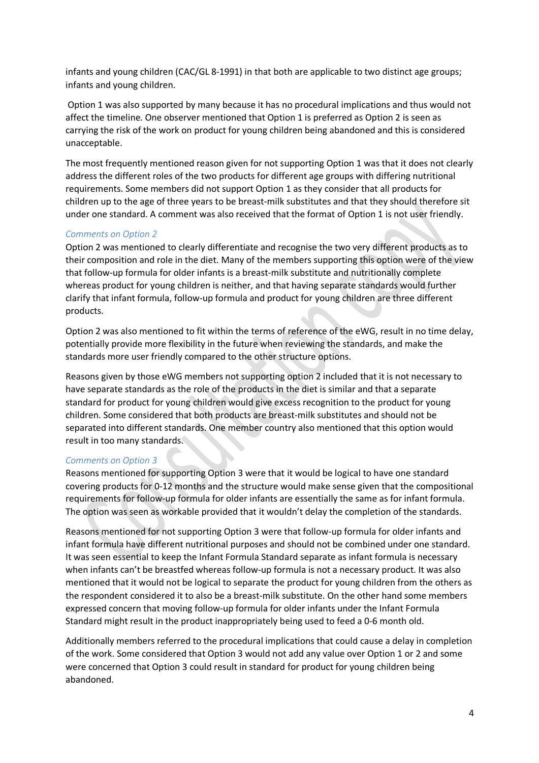infants and young children (CAC/GL 8-1991) in that both are applicable to two distinct age groups; infants and young children.

Option 1 was also supported by many because it has no procedural implications and thus would not affect the timeline. One observer mentioned that Option 1 is preferred as Option 2 is seen as carrying the risk of the work on product for young children being abandoned and this is considered unacceptable.

The most frequently mentioned reason given for not supporting Option 1 was that it does not clearly address the different roles of the two products for different age groups with differing nutritional requirements. Some members did not support Option 1 as they consider that all products for children up to the age of three years to be breast-milk substitutes and that they should therefore sit under one standard. A comment was also received that the format of Option 1 is not user friendly.

#### *Comments on Option 2*

Option 2 was mentioned to clearly differentiate and recognise the two very different products as to their composition and role in the diet. Many of the members supporting this option were of the view that follow-up formula for older infants is a breast-milk substitute and nutritionally complete whereas product for young children is neither, and that having separate standards would further clarify that infant formula, follow-up formula and product for young children are three different products.

Option 2 was also mentioned to fit within the terms of reference of the eWG, result in no time delay, potentially provide more flexibility in the future when reviewing the standards, and make the standards more user friendly compared to the other structure options.

Reasons given by those eWG members not supporting option 2 included that it is not necessary to have separate standards as the role of the products in the diet is similar and that a separate standard for product for young children would give excess recognition to the product for young children. Some considered that both products are breast-milk substitutes and should not be separated into different standards. One member country also mentioned that this option would result in too many standards.

#### *Comments on Option 3*

Reasons mentioned for supporting Option 3 were that it would be logical to have one standard covering products for 0-12 months and the structure would make sense given that the compositional requirements for follow-up formula for older infants are essentially the same as for infant formula. The option was seen as workable provided that it wouldn't delay the completion of the standards.

Reasons mentioned for not supporting Option 3 were that follow-up formula for older infants and infant formula have different nutritional purposes and should not be combined under one standard. It was seen essential to keep the Infant Formula Standard separate as infant formula is necessary when infants can't be breastfed whereas follow-up formula is not a necessary product. It was also mentioned that it would not be logical to separate the product for young children from the others as the respondent considered it to also be a breast-milk substitute. On the other hand some members expressed concern that moving follow-up formula for older infants under the Infant Formula Standard might result in the product inappropriately being used to feed a 0-6 month old.

Additionally members referred to the procedural implications that could cause a delay in completion of the work. Some considered that Option 3 would not add any value over Option 1 or 2 and some were concerned that Option 3 could result in standard for product for young children being abandoned.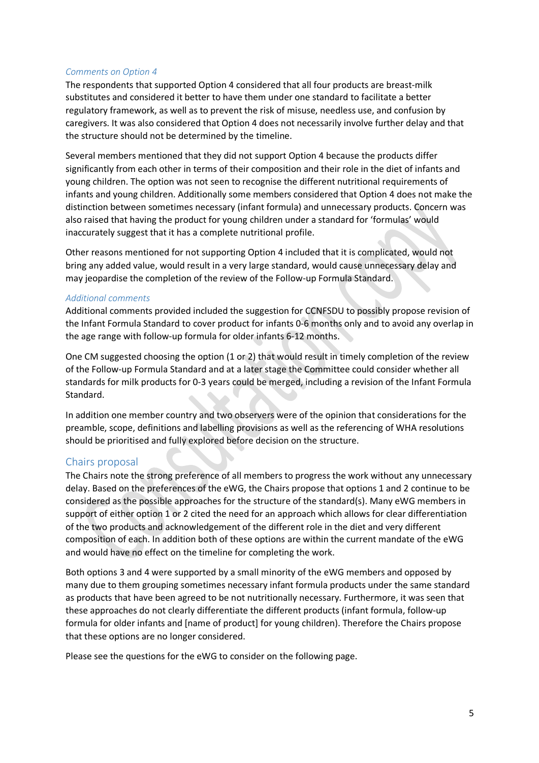#### *Comments on Option 4*

The respondents that supported Option 4 considered that all four products are breast-milk substitutes and considered it better to have them under one standard to facilitate a better regulatory framework, as well as to prevent the risk of misuse, needless use, and confusion by caregivers. It was also considered that Option 4 does not necessarily involve further delay and that the structure should not be determined by the timeline.

Several members mentioned that they did not support Option 4 because the products differ significantly from each other in terms of their composition and their role in the diet of infants and young children. The option was not seen to recognise the different nutritional requirements of infants and young children. Additionally some members considered that Option 4 does not make the distinction between sometimes necessary (infant formula) and unnecessary products. Concern was also raised that having the product for young children under a standard for 'formulas' would inaccurately suggest that it has a complete nutritional profile.

Other reasons mentioned for not supporting Option 4 included that it is complicated, would not bring any added value, would result in a very large standard, would cause unnecessary delay and may jeopardise the completion of the review of the Follow-up Formula Standard.

#### *Additional comments*

Additional comments provided included the suggestion for CCNFSDU to possibly propose revision of the Infant Formula Standard to cover product for infants 0-6 months only and to avoid any overlap in the age range with follow-up formula for older infants 6-12 months.

One CM suggested choosing the option (1 or 2) that would result in timely completion of the review of the Follow-up Formula Standard and at a later stage the Committee could consider whether all standards for milk products for 0-3 years could be merged, including a revision of the Infant Formula Standard.

In addition one member country and two observers were of the opinion that considerations for the preamble, scope, definitions and labelling provisions as well as the referencing of WHA resolutions should be prioritised and fully explored before decision on the structure.

#### Chairs proposal

The Chairs note the strong preference of all members to progress the work without any unnecessary delay. Based on the preferences of the eWG, the Chairs propose that options 1 and 2 continue to be considered as the possible approaches for the structure of the standard(s). Many eWG members in support of either option 1 or 2 cited the need for an approach which allows for clear differentiation of the two products and acknowledgement of the different role in the diet and very different composition of each. In addition both of these options are within the current mandate of the eWG and would have no effect on the timeline for completing the work.

Both options 3 and 4 were supported by a small minority of the eWG members and opposed by many due to them grouping sometimes necessary infant formula products under the same standard as products that have been agreed to be not nutritionally necessary. Furthermore, it was seen that these approaches do not clearly differentiate the different products (infant formula, follow-up formula for older infants and [name of product] for young children). Therefore the Chairs propose that these options are no longer considered.

Please see the questions for the eWG to consider on the following page.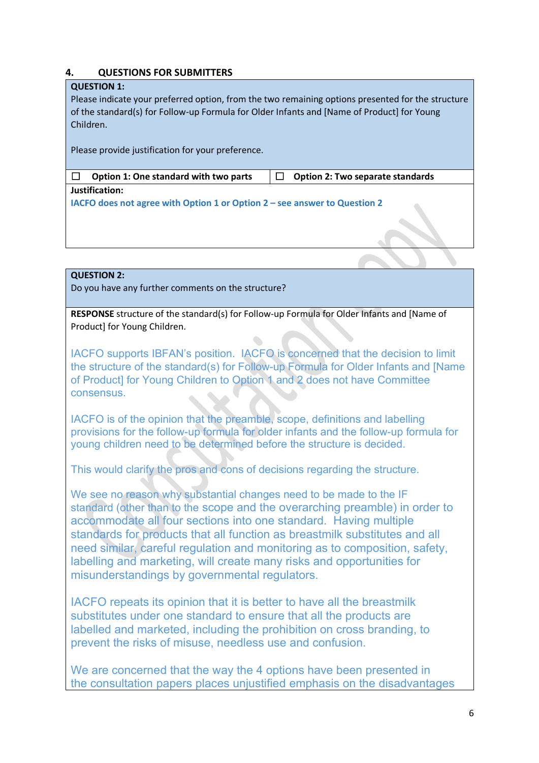### **4. QUESTIONS FOR SUBMITTERS**

#### **QUESTION 1:**

Please indicate your preferred option, from the two remaining options presented for the structure of the standard(s) for Follow-up Formula for Older Infants and [Name of Product] for Young Children.

Please provide justification for your preference.

| $\Box$ Option 1: One standard with two parts | $\Box$ Option 2: Two separate standards |
|----------------------------------------------|-----------------------------------------|
| lustification:                               |                                         |

**IACFO does not agree with Option 1 or Option 2 – see answer to Question 2**

### **QUESTION 2:**

Do you have any further comments on the structure?

**RESPONSE** structure of the standard(s) for Follow-up Formula for Older Infants and [Name of Product] for Young Children.

IACFO supports IBFAN's position. IACFO is concerned that the decision to limit the structure of the standard(s) for Follow-up Formula for Older Infants and [Name of Product] for Young Children to Option 1 and 2 does not have Committee consensus.

IACFO is of the opinion that the preamble, scope, definitions and labelling provisions for the follow-up formula for older infants and the follow-up formula for young children need to be determined before the structure is decided.

This would clarify the pros and cons of decisions regarding the structure.

We see no reason why substantial changes need to be made to the IF standard (other than to the scope and the overarching preamble) in order to accommodate all four sections into one standard. Having multiple standards for products that all function as breastmilk substitutes and all need similar, careful regulation and monitoring as to composition, safety, labelling and marketing, will create many risks and opportunities for misunderstandings by governmental regulators.

IACFO repeats its opinion that it is better to have all the breastmilk substitutes under one standard to ensure that all the products are labelled and marketed, including the prohibition on cross branding, to prevent the risks of misuse, needless use and confusion.

We are concerned that the way the 4 options have been presented in the consultation papers places unjustified emphasis on the disadvantages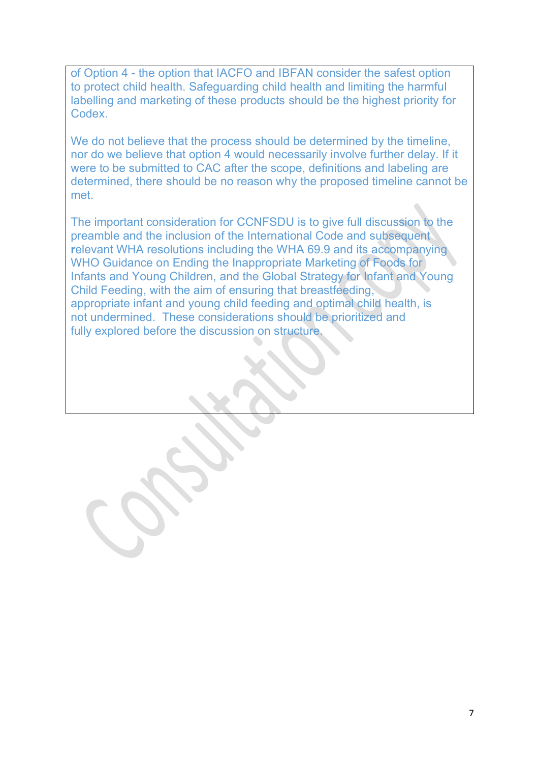of Option 4 - the option that IACFO and IBFAN consider the safest option to protect child health. Safeguarding child health and limiting the harmful labelling and marketing of these products should be the highest priority for Codex.

We do not believe that the process should be determined by the timeline, nor do we believe that option 4 would necessarily involve further delay. If it were to be submitted to CAC after the scope, definitions and labeling are determined, there should be no reason why the proposed timeline cannot be met.

The important consideration for CCNFSDU is to give full discussion to the preamble and the inclusion of the International Code and subsequent **r**elevant WHA resolutions including the WHA 69.9 and its accompanying WHO Guidance on Ending the Inappropriate Marketing of Foods for Infants and Young Children, and the Global Strategy for Infant and Young Child Feeding, with the aim of ensuring that breastfeeding, appropriate infant and young child feeding and optimal child health, is not undermined. These considerations should be prioritized and fully explored before the discussion on structure.